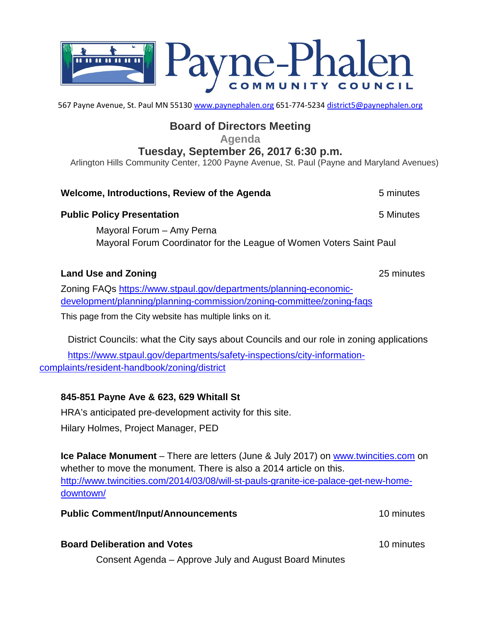

567 Payne Avenue, St. Paul MN 55130 [www.paynephalen.org](http://www.paynephalen.org/) 651-774-5234 [district5@paynephalen.org](mailto:district5@paynephalen.org)

## **Board of Directors Meeting**

**Agenda**

## **Tuesday, September 26, 2017 6:30 p.m.**

Arlington Hills Community Center, 1200 Payne Avenue, St. Paul (Payne and Maryland Avenues)

| Welcome, Introductions, Review of the Agenda                                                     | 5 minutes |
|--------------------------------------------------------------------------------------------------|-----------|
| <b>Public Policy Presentation</b>                                                                | 5 Minutes |
| Mayoral Forum - Amy Perna<br>Mayoral Forum Coordinator for the League of Women Voters Saint Paul |           |
|                                                                                                  |           |

### **Land Use and Zoning** 25 minutes

Zoning FAQs [https://www.stpaul.gov/departments/planning-economic](https://www.stpaul.gov/departments/planning-economic-development/planning/planning-commission/zoning-committee/zoning-faqs)[development/planning/planning-commission/zoning-committee/zoning-faqs](https://www.stpaul.gov/departments/planning-economic-development/planning/planning-commission/zoning-committee/zoning-faqs) This page from the City website has multiple links on it.

District Councils: what the City says about Councils and our role in zoning applications

[https://www.stpaul.gov/departments/safety-inspections/city-information](https://www.stpaul.gov/departments/safety-inspections/city-information-complaints/resident-handbook/zoning/district)[complaints/resident-handbook/zoning/district](https://www.stpaul.gov/departments/safety-inspections/city-information-complaints/resident-handbook/zoning/district)

## **845-851 Payne Ave & 623, 629 Whitall St**

HRA's anticipated pre-development activity for this site. Hilary Holmes, Project Manager, PED

**Ice Palace Monument** – There are letters (June & July 2017) on [www.twincities.com](http://www.twincities.com/) on whether to move the monument. There is also a 2014 article on this. [http://www.twincities.com/2014/03/08/will-st-pauls-granite-ice-palace-get-new-home](http://www.twincities.com/2014/03/08/will-st-pauls-granite-ice-palace-get-new-home-downtown/)[downtown/](http://www.twincities.com/2014/03/08/will-st-pauls-granite-ice-palace-get-new-home-downtown/)

### **Public Comment/Input/Announcements** 10 minutes

### **Board Deliberation and Votes** 10 minutes

Consent Agenda – Approve July and August Board Minutes